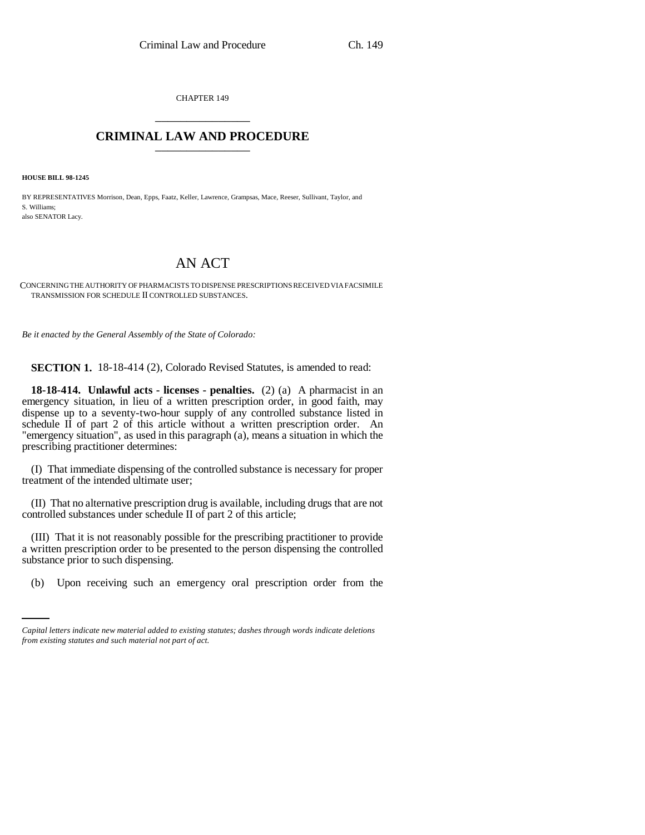CHAPTER 149 \_\_\_\_\_\_\_\_\_\_\_\_\_\_\_

## **CRIMINAL LAW AND PROCEDURE** \_\_\_\_\_\_\_\_\_\_\_\_\_\_\_

**HOUSE BILL 98-1245**

BY REPRESENTATIVES Morrison, Dean, Epps, Faatz, Keller, Lawrence, Grampsas, Mace, Reeser, Sullivant, Taylor, and S. Williams; also SENATOR Lacy.

## AN ACT

## CONCERNING THE AUTHORITY OF PHARMACISTS TO DISPENSE PRESCRIPTIONS RECEIVED VIA FACSIMILE TRANSMISSION FOR SCHEDULE II CONTROLLED SUBSTANCES.

*Be it enacted by the General Assembly of the State of Colorado:*

**SECTION 1.** 18-18-414 (2), Colorado Revised Statutes, is amended to read:

**18-18-414. Unlawful acts - licenses - penalties.** (2) (a) A pharmacist in an emergency situation, in lieu of a written prescription order, in good faith, may dispense up to a seventy-two-hour supply of any controlled substance listed in schedule II of part 2 of this article without a written prescription order. An "emergency situation", as used in this paragraph (a), means a situation in which the prescribing practitioner determines:

(I) That immediate dispensing of the controlled substance is necessary for proper treatment of the intended ultimate user;

(II) That no alternative prescription drug is available, including drugs that are not controlled substances under schedule II of part 2 of this article;

substance prior to such dispensing. (III) That it is not reasonably possible for the prescribing practitioner to provide a written prescription order to be presented to the person dispensing the controlled

(b) Upon receiving such an emergency oral prescription order from the

*Capital letters indicate new material added to existing statutes; dashes through words indicate deletions from existing statutes and such material not part of act.*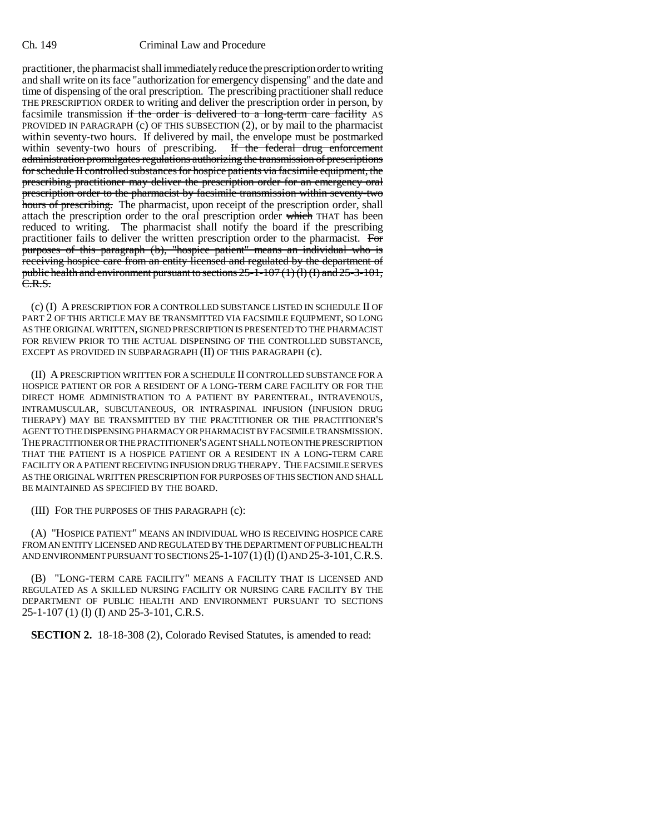## Ch. 149 Criminal Law and Procedure

practitioner, the pharmacist shall immediately reduce the prescription order to writing and shall write on its face "authorization for emergency dispensing" and the date and time of dispensing of the oral prescription. The prescribing practitioner shall reduce THE PRESCRIPTION ORDER to writing and deliver the prescription order in person, by facsimile transmission if the order is delivered to a long-term care facility AS PROVIDED IN PARAGRAPH (c) OF THIS SUBSECTION (2), or by mail to the pharmacist within seventy-two hours. If delivered by mail, the envelope must be postmarked within seventy-two hours of prescribing. If the federal drug enforcement administration promulgates regulations authorizing the transmission of prescriptions for schedule II controlled substances for hospice patients via facsimile equipment, the prescribing practitioner may deliver the prescription order for an emergency oral prescription order to the pharmacist by facsimile transmission within seventy-two hours of prescribing. The pharmacist, upon receipt of the prescription order, shall attach the prescription order to the oral prescription order which THAT has been reduced to writing. The pharmacist shall notify the board if the prescribing practitioner fails to deliver the written prescription order to the pharmacist. For purposes of this paragraph (b), "hospice patient" means an individual who is receiving hospice care from an entity licensed and regulated by the department of public health and environment pursuant to sections  $25-1-107(1)(1)$  (I) and  $25-3-101$ ,  $\overline{C.R.S.}$ 

(c) (I) A PRESCRIPTION FOR A CONTROLLED SUBSTANCE LISTED IN SCHEDULE II OF PART 2 OF THIS ARTICLE MAY BE TRANSMITTED VIA FACSIMILE EQUIPMENT, SO LONG AS THE ORIGINAL WRITTEN, SIGNED PRESCRIPTION IS PRESENTED TO THE PHARMACIST FOR REVIEW PRIOR TO THE ACTUAL DISPENSING OF THE CONTROLLED SUBSTANCE, EXCEPT AS PROVIDED IN SUBPARAGRAPH (II) OF THIS PARAGRAPH (c).

(II) A PRESCRIPTION WRITTEN FOR A SCHEDULE II CONTROLLED SUBSTANCE FOR A HOSPICE PATIENT OR FOR A RESIDENT OF A LONG-TERM CARE FACILITY OR FOR THE DIRECT HOME ADMINISTRATION TO A PATIENT BY PARENTERAL, INTRAVENOUS, INTRAMUSCULAR, SUBCUTANEOUS, OR INTRASPINAL INFUSION (INFUSION DRUG THERAPY) MAY BE TRANSMITTED BY THE PRACTITIONER OR THE PRACTITIONER'S AGENT TO THE DISPENSING PHARMACY OR PHARMACIST BY FACSIMILE TRANSMISSION. THE PRACTITIONER OR THE PRACTITIONER'S AGENT SHALL NOTE ON THE PRESCRIPTION THAT THE PATIENT IS A HOSPICE PATIENT OR A RESIDENT IN A LONG-TERM CARE FACILITY OR A PATIENT RECEIVING INFUSION DRUG THERAPY. THE FACSIMILE SERVES AS THE ORIGINAL WRITTEN PRESCRIPTION FOR PURPOSES OF THIS SECTION AND SHALL BE MAINTAINED AS SPECIFIED BY THE BOARD.

(III) FOR THE PURPOSES OF THIS PARAGRAPH (c):

(A) "HOSPICE PATIENT" MEANS AN INDIVIDUAL WHO IS RECEIVING HOSPICE CARE FROM AN ENTITY LICENSED AND REGULATED BY THE DEPARTMENT OF PUBLIC HEALTH AND ENVIRONMENT PURSUANT TO SECTIONS 25-1-107(1) (l) (I) AND 25-3-101,C.R.S.

(B) "LONG-TERM CARE FACILITY" MEANS A FACILITY THAT IS LICENSED AND REGULATED AS A SKILLED NURSING FACILITY OR NURSING CARE FACILITY BY THE DEPARTMENT OF PUBLIC HEALTH AND ENVIRONMENT PURSUANT TO SECTIONS 25-1-107 (1) (l) (I) AND 25-3-101, C.R.S.

**SECTION 2.** 18-18-308 (2), Colorado Revised Statutes, is amended to read: